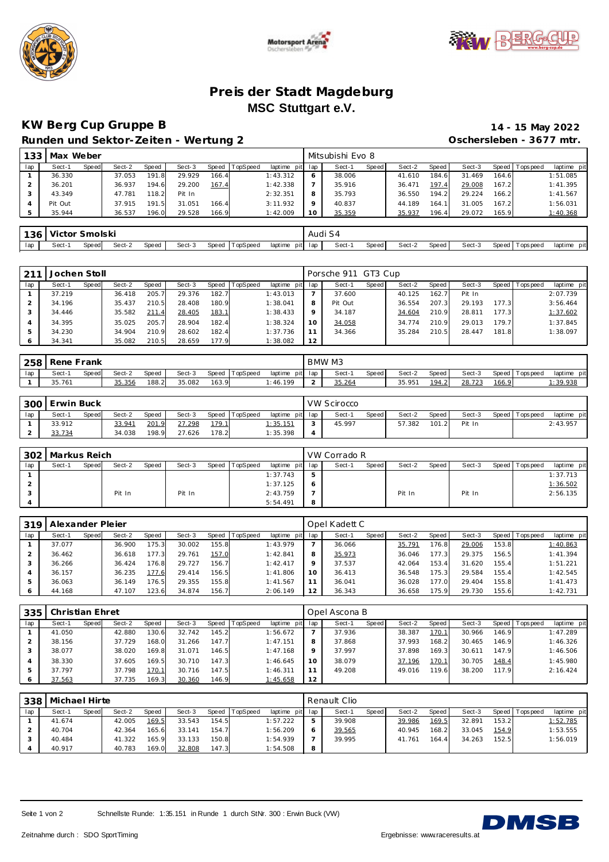





#### **Pre is der Stadt Magdeburg MSC Stuttgart e.V.**

# **KW Berg Cup Gruppe B 14 - 15 May 2022**

**Runden und Sektor-Zeiten - Wertung 2 Max Weber** Mitsubishi Evo 8

|                    | Oschersleben - 3677 mtr. |
|--------------------|--------------------------|
| l Mitsubishi Evo 8 |                          |

|     | 199 I MAY AACACI |       |        |       |        |       |                  |                 |    | IVII LOUNDI II LVU U |       |        |        |        |       |                 |             |
|-----|------------------|-------|--------|-------|--------|-------|------------------|-----------------|----|----------------------|-------|--------|--------|--------|-------|-----------------|-------------|
| lap | Sect-1           | Speed | Sect-2 | Speed | Sect-3 |       | Speed   TopSpeed | laptime pit lap |    | Sect-1               | Speed | Sect-2 | Speed  | Sect-3 |       | Speed Tops peed | laptime pit |
|     | 36.330           |       | 37.053 | 191.8 | 29.929 | 166.4 |                  | 1:43.312        |    | 38.006               |       | 41.610 | 184.61 | 31.469 | 164.6 |                 | 1:51.085    |
|     | 36.201           |       | 36.937 | 194.6 | 29.200 | 167.4 |                  | 1:42.338        |    | 35.916               |       | 36.471 | 197.4  | 29.008 | 167.2 |                 | 1: 41.395   |
|     | 43.349           |       | 47.781 | 118.2 | Pit In |       |                  | 2:32.351        |    | 35.793               |       | 36.550 | 194.2  | 29.224 | 166.2 |                 | 1:41.567    |
|     | Pit Out          |       | 37.915 | 191.5 | 31.051 | 166.4 |                  | 3:11.932        |    | 40.837               |       | 44.189 | 164.1  | 31.005 | 167.2 |                 | 1:56.031    |
|     | 35.944           |       | 36.537 | 196.0 | 29.528 | 166.9 |                  | 1:42.009        | 10 | 35.359               |       | 35.937 | 196.4  | 29.072 | 165.9 |                 | 1:40.368    |
|     |                  |       |        |       |        |       |                  |                 |    |                      |       |        |        |        |       |                 |             |

| 136 | ∴ Victor '` | ∖molski<br>اد |        |       |        |       |          |                    | Audi S4 |       |        |       |        |         |            |                |
|-----|-------------|---------------|--------|-------|--------|-------|----------|--------------------|---------|-------|--------|-------|--------|---------|------------|----------------|
| lap | Sect-1      | Speed         | Sect-2 | Speed | Sect-3 | Speed | TopSpeed | laptime<br>pit lap | Sect-   | Speed | Sect-2 | Speed | Sect-3 | Speed T | Fops pee d | pit<br>laptime |

| 211 | Jochen Stoll |       |        |       |        |       |          |             |     | Porsche 911 GT3 Cup |              |        |       |        |       |                   |             |
|-----|--------------|-------|--------|-------|--------|-------|----------|-------------|-----|---------------------|--------------|--------|-------|--------|-------|-------------------|-------------|
| lap | Sect-1       | Speed | Sect-2 | Speed | Sect-3 | Speed | TopSpeed | laptime pit | lap | Sect-1              | <b>Speed</b> | Sect-2 | Speed | Sect-3 |       | Speed   Tops peed | laptime pit |
|     | 37.219       |       | 36.418 | 205.7 | 29.376 | 182.7 |          | 1:43.013    |     | 37.600              |              | 40.125 | 162.7 | Pit In |       |                   | 2:07.739    |
|     | 34.196       |       | 35.437 | 210.5 | 28.408 | 180.9 |          | 1:38.041    | 8   | Pit Out             |              | 36.554 | 207.3 | 29.193 | 177.3 |                   | 3:56.464    |
|     | 34.446       |       | 35.582 | 211.4 | 28.405 | 183.1 |          | 1:38.433    | Q   | 34.187              |              | 34.604 | 210.9 | 28.811 | 177.3 |                   | 1:37.602    |
|     | 34.395       |       | 35.025 | 205.7 | 28.904 | 182.4 |          | 1:38.324    | 10  | 34.058              |              | 34.774 | 210.9 | 29.013 | 179.7 |                   | 1:37.845    |
|     | 34.230       |       | 34.904 | 210.9 | 28.602 | 182.4 |          | 1:37.736    |     | 34.366              |              | 35.284 | 210.5 | 28.447 | 181.8 |                   | 1:38.097    |
|     | 34.341       |       | 35.082 | 210.5 | 28.659 | 177.9 |          | 1:38.082    | 12  |                     |              |        |       |        |       |                   |             |

| 258 | Rene H      | Frank |        |       |        |       |          |          |         | BMW M3 |       |                                   |       |             |              |                 |                |
|-----|-------------|-------|--------|-------|--------|-------|----------|----------|---------|--------|-------|-----------------------------------|-------|-------------|--------------|-----------------|----------------|
| lap | Sect-1      | Speed | Sect-2 | Speed | Sect-3 | Speed | TopSpeed | laptime  | pit lap | Sect-  | Speed | Sect-2                            | Speed | Sect-3      |              | Speed Tops peed | laptime<br>pit |
|     | .761<br>35. |       | 35.356 | 188.2 | 35.082 | 163.9 |          | : 46.199 |         | 35.264 |       | 35.95<br>$\overline{\phantom{a}}$ | 194.2 | 28.<br>.723 | <u>166.9</u> |                 | : 39.938       |

|     | SOO Erwin Buck |       |        |       |        |       |          |                         | <b>VW Scirocco</b> |       |        |       |        |                 |             |
|-----|----------------|-------|--------|-------|--------|-------|----------|-------------------------|--------------------|-------|--------|-------|--------|-----------------|-------------|
| lap | Sect-'         | Speed | Sect-2 | Speed | Sect-3 | Speed | TopSpeed | laptime pit lap         | Sect-1             | Speed | Sect-2 | Speed | Sect-3 | Speed Tops peed | laptime pit |
|     | 33.912         |       | 33.941 | 201.9 | 27.298 | 179.1 |          | $\frac{1.35.151}{1.50}$ | 45.997             |       | 57.382 | 101.2 | Pit In |                 | 2:43.957    |
|     | 33.734         |       | 34.038 | 198.9 | 27.626 | 178.2 |          | 1:35.398                |                    |       |        |       |        |                 |             |

|     | 302   Markus Reich |       |        |       |        |                |                 | VW Corrado R |       |        |       |        |                 |             |
|-----|--------------------|-------|--------|-------|--------|----------------|-----------------|--------------|-------|--------|-------|--------|-----------------|-------------|
| lap | Sect-1             | Speed | Sect-2 | Speed | Sect-3 | Speed TopSpeed | laptime pit lap | Sect-1       | Speed | Sect-2 | Speed | Sect-3 | Speed Tops peed | laptime pit |
|     |                    |       |        |       |        |                | 1:37.743        |              |       |        |       |        |                 | 1:37.713    |
|     |                    |       |        |       |        |                | 1:37.125        |              |       |        |       |        |                 | 1:36.502    |
|     |                    |       | Pit In |       | Pit In |                | 2:43.759        |              |       | Pit In |       | Pit In |                 | 2:56.135    |
|     |                    |       |        |       |        |                | 5:54.491        |              |       |        |       |        |                 |             |

| 319 | Alexander Pleier |       |        |       |        |       |          |             |                | Opel Kadett C |              |        |                    |        |       |                |             |
|-----|------------------|-------|--------|-------|--------|-------|----------|-------------|----------------|---------------|--------------|--------|--------------------|--------|-------|----------------|-------------|
| lap | Sect-1           | Speed | Sect-2 | Speed | Sect-3 | Speed | TopSpeed | laptime pit | lap            | Sect-1        | <b>Speed</b> | Sect-2 | Speed              | Sect-3 |       | Speed Topspeed | laptime pit |
|     | 37.077           |       | 36.900 | 175.3 | 30.002 | 155.8 |          | 1:43.979    |                | 36.066        |              | 35.791 | 176.8              | 29.006 | 153.8 |                | 1:40.863    |
|     | 36.462           |       | 36.618 | 177.3 | 29.761 | 157.0 |          | 1:42.841    |                | 35.973        |              | 36.046 | 177.3              | 29.375 | 156.5 |                | 1:41.394    |
|     | 36.266           |       | 36.424 | 176.8 | 29.727 | 156.7 |          | 1:42.417    |                | 37.537        |              | 42.064 | 153.4 <sub>1</sub> | 31.620 | 155.4 |                | 1:51.221    |
|     | 36.157           |       | 36.235 | 177.6 | 29.414 | 156.5 |          | 1:41.806    | 1 <sup>C</sup> | 36.413        |              | 36.548 | 175.3              | 29.584 | 155.4 |                | 1:42.545    |
|     | 36.063           |       | 36.149 | 176.5 | 29.355 | 155.8 |          | 1: 41.567   |                | 36.041        |              | 36.028 | 177.0              | 29.404 | 155.8 |                | 1:41.473    |
|     | 44.168           |       | 47.107 | 123.6 | 34.874 | 156.7 |          | 2:06.149    | 12             | 36.343        |              | 36.658 | 175.9              | 29.730 | 155.6 |                | 1:42.731    |

| 335 | Christian Ehret |       |        |       |        |       |          |                |         | Opel Ascona B |              |        |       |        |       |                 |             |
|-----|-----------------|-------|--------|-------|--------|-------|----------|----------------|---------|---------------|--------------|--------|-------|--------|-------|-----------------|-------------|
| lap | Sect-1          | Speed | Sect-2 | Speed | Sect-3 | Speed | TopSpeed | laptime<br>pit | lap     | Sect-1        | <b>Speed</b> | Sect-2 | Speed | Sect-3 |       | Speed Tops peed | laptime pit |
|     | 41.050          |       | 42.880 | 130.6 | 32.742 | 145.2 |          | 1:56.672       |         | 37.936        |              | 38.387 | 170.1 | 30.966 | 146.9 |                 | 1:47.289    |
|     | 38.156          |       | 37.729 | 168.0 | 31.266 | 147.7 |          | 1:47.151       | 8       | 37.868        |              | 37.993 | 168.2 | 30.465 | 146.9 |                 | 1:46.326    |
|     | 38.077          |       | 38.020 | 169.8 | 31.071 | 146.5 |          | 1:47.168       | $\circ$ | 37.997        |              | 37.898 | 169.3 | 30.611 | 147.9 |                 | 1:46.506    |
|     | 38.330          |       | 37.605 | 169.5 | 30.710 | 147.3 |          | 1:46.645       | 10      | 38.079        |              | 37.196 | 170.1 | 30.705 | 148.4 |                 | 1:45.980    |
|     | 37.797          |       | 37.798 | 170.1 | 30.716 | 147.5 |          | 1:46.311       |         | 49.208        |              | 49.016 | 119.6 | 38.200 | 117.9 |                 | 2:16.424    |
|     | 37.563          |       | 37.735 | 169.3 | 30.360 | 146.9 |          | 1:45.658       | 12      |               |              |        |       |        |       |                 |             |

|     | 338   Michael Hirte |       |        |       |        |       |                |             |     | Renault Clio |              |        |       |        |         |            |             |
|-----|---------------------|-------|--------|-------|--------|-------|----------------|-------------|-----|--------------|--------------|--------|-------|--------|---------|------------|-------------|
| lap | Sect-1              | Speed | Sect-2 | Speed | Sect-3 |       | Speed TopSpeed | laptime pit | lap | Sect-1       | <b>Speed</b> | Sect-2 | Speed | Sect-3 | Speed F | Tops pee d | laptime pit |
|     | 41.674              |       | 42.005 | 169.5 | 33.543 | 154.5 |                | 1:57.222    | ь   | 39.908       |              | 39.986 | 169.5 | 32.891 | 153.2   |            | 1:52.785    |
|     | 40.704              |       | 42.364 | 165.6 | 33.141 | 154.7 |                | 1:56.209    | O   | 39.565       |              | 40.945 | 168.2 | 33.045 | 154.9   |            | 1:53.555    |
|     | 40.484              |       | 41.322 | 165.9 | 33.133 | 150.8 |                | 1:54.939    |     | 39.995       |              | 41.761 | 164.4 | 34.263 | 152.5   |            | 1:56.019    |
|     | 40.917              |       | 40.783 | 169.0 | 32.808 | 147.3 |                | 1:54.508    | 8   |              |              |        |       |        |         |            |             |